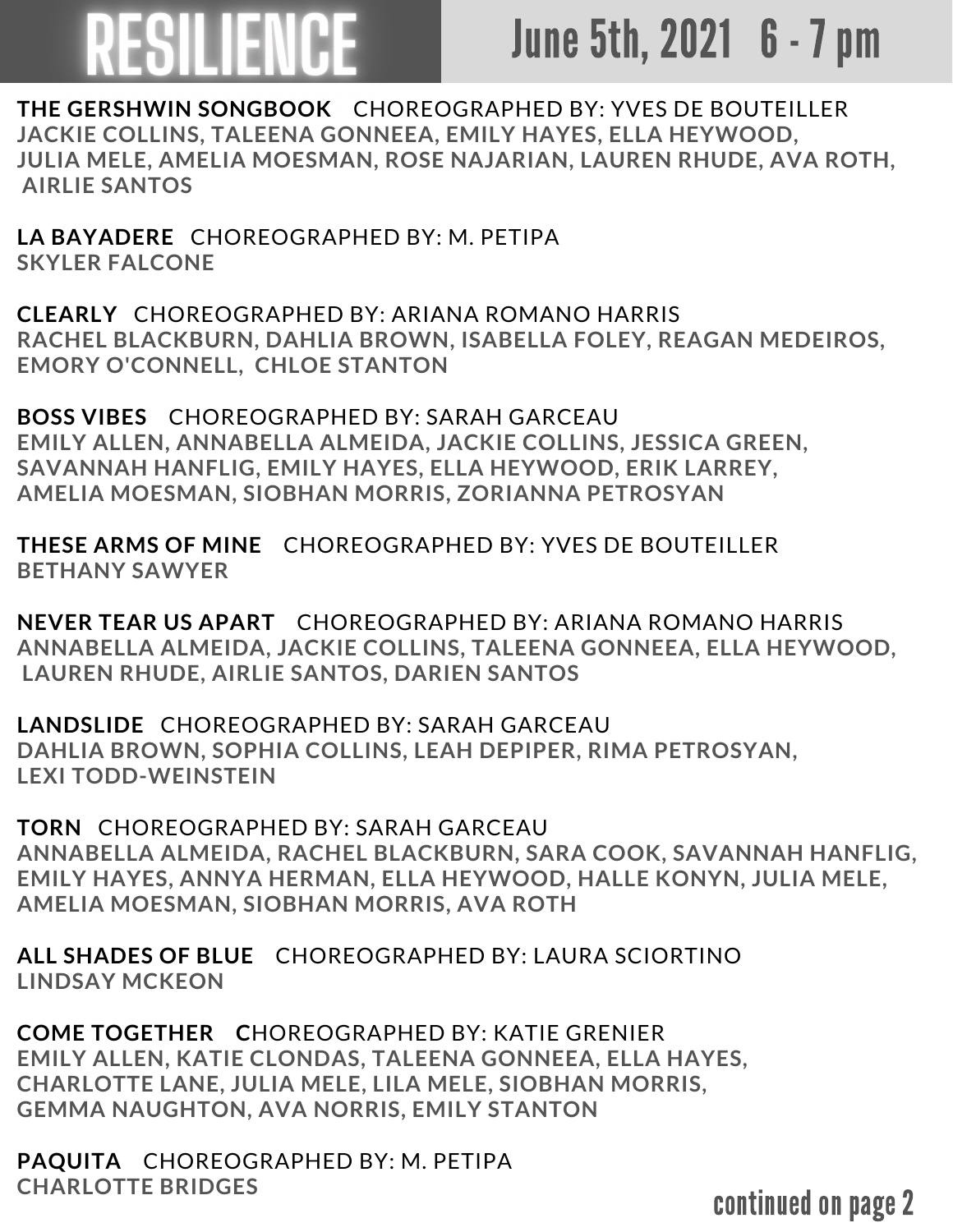## FSILIENCE

## June 5th, 2021 6 - 7 pm

**THE GERSHWIN SONGBOOK** CHOREOGRAPHED BY: YVES DE BOUTEILLER **JACKIE COLLINS, TALEENA GONNEEA, EMILY HAYES, ELLA HEYWOOD, JULIA MELE, AMELIA MOESMAN, ROSE NAJARIAN, LAUREN RHUDE, AVA ROTH, AIRLIE SANTOS**

**LA BAYADERE** CHOREOGRAPHED BY: M. PETIPA **SKYLER FALCONE**

**CLEARLY** CHOREOGRAPHED BY: ARIANA ROMANO HARRIS **RACHEL BLACKBURN, DAHLIA BROWN, ISABELLA FOLEY, REAGAN MEDEIROS, EMORY O'CONNELL, CHLOE STANTON**

**BOSS VIBES** CHOREOGRAPHED BY: SARAH GARCEAU **EMILY ALLEN, ANNABELLA ALMEIDA, JACKIE COLLINS, JESSICA GREEN, SAVANNAH HANFLIG, EMILY HAYES, ELLA HEYWOOD, ERIK LARREY, AMELIA MOESMAN, SIOBHAN MORRIS, ZORIANNA PETROSYAN**

**THESE ARMS OF MINE** CHOREOGRAPHED BY: YVES DE BOUTEILLER **BETHANY SAWYER**

**NEVER TEAR US APART** CHOREOGRAPHED BY: ARIANA ROMANO HARRIS **ANNABELLA ALMEIDA, JACKIE COLLINS, TALEENA GONNEEA, ELLA HEYWOOD, LAUREN RHUDE, AIRLIE SANTOS, DARIEN SANTOS**

**LANDSLIDE** CHOREOGRAPHED BY: SARAH GARCEAU **DAHLIA BROWN, SOPHIA COLLINS, LEAH DEPIPER, RIMA PETROSYAN, LEXI TODD-WEINSTEIN**

**TORN** CHOREOGRAPHED BY: SARAH GARCEAU **ANNABELLA ALMEIDA, RACHEL BLACKBURN, SARA COOK, SAVANNAH HANFLIG, EMILY HAYES, ANNYA HERMAN, ELLA HEYWOOD, HALLE KONYN, JULIA MELE, AMELIA MOESMAN, SIOBHAN MORRIS, AVA ROTH**

**ALL SHADES OF BLUE** CHOREOGRAPHED BY: LAURA SCIORTINO **LINDSAY MCKEON**

**COME TOGETHER C**HOREOGRAPHED BY: KATIE GRENIER **EMILY ALLEN, KATIE CLONDAS, TALEENA GONNEEA, ELLA HAYES, CHARLOTTE LANE, JULIA MELE, LILA MELE, SIOBHAN MORRIS, GEMMA NAUGHTON, AVA NORRIS, EMILY STANTON**

**PAQUITA** CHOREOGRAPHED BY: M. PETIPA **CHARLOTTE BRIDGES**

continued on page 2